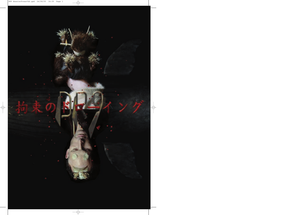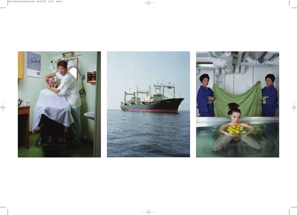

 $\bigoplus$ 



 $\overrightarrow{ }$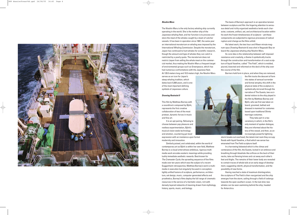## **Nisshin Maru**

The Nisshin Maru is the only factory whaling ship currently operating in the world. She is the mother ship of the Japanese whaling fleet, and her function is to process and store the meat of the whales caught by a team of catcher vessels. It has been in operation since 1987, the same year an international moratorium on whaling was imposed by the International Whaling Commission. Despite the moratorium, Japan has continued to hunt whales for scientific research, though the amount and type of whales they can catch is restricted by a yearly quota. The moratorium does not restrict Japan from selling the whale meat on the commercial market, thus making the Nisshin Maru a frequent target of environmental groups such as Greenpeace, which has had numerous confrontations with the Japanese fleet. At 129.5 meters long and 19.5 meters high, the Nisshin Maru

serves as an icon for Japan's steep whaling tradition, which dates back 5,500 years, and is one of the most important defining symbols of Japanese culture.

## **Drawing Restraint 9**

This film by Matthew Barney with a soundtrack composed by Björk, represents the first creative collaboration of two of the most protean, dynamic forces in music and fine art.

It is an apt pairing. Refusing to choose between pop pleasure and restless experimentation, Björk's musical vision weds technology and emotion, countering gut-level



expression with an insistence upon formal modernity and innovation.

Similarly poised, and celebrated, within the world of contemporary art as Björk is within her own field, Matthew Barney is a visual artist whose ambitious, rigorous multimedia work encodes esoteric meanings while providing lushly immediate aesthetic rewards. Best known for The Cremaster Cycle, the sprawling sequence of five films made over ten years which was the subject of a recent Guggenheim retrospective, Matthew Barney's work is multimedia in execution but singularly focused in conception: tightly unified fusions of sculpture, performance, architecture, set design, music, computer-generated effects and prosthetics, Barney's films deploy the full range of cinematic resources in the service of a hermetic vision, rich with densely layered networks of meaning drawn from mythology, history, sports, music, and biology.

The basis of Barney's approach is an operative tension between sculpture and film: the lingering attention to sensuous detail and richly organized aesthetics lends each character, costume, artifact, set, and architectural location within his work the frozen timelessness of sculpture – yet these components are subjected to vigorous processes of radical rupture and change as the films unfold.

His latest work, the two hour and fifteen minute magnum opus Drawing Restraint 9, was shot in Nagasaki Bay on board the Japanese whaling ship Nisshin Maru.

Its core idea is the relationship between self-imposed resistance and creativity, a theme it symbolically tracks through the construction and transformation of a vast sculpture of liquid Vaseline, called "The Field", which is molded, poured, bisected and reformed on the deck of the ship over the course of the film.

Barriers hold form in place, and when they are removed,

the film tracks the descent of form into states of sensual surrender and formal atrophy; this shift in the physical state of the sculpture is symbolically mirrored through the narrative of The Guests, two occidental visitors to the ship played in the film by Matthew Barney and Björk, who we first see taken on board, groomed, bathed and dressed in mammal fur costumes based upon traditional Shinto marriage costumes.

They take part in a tea ceremony in which, in the film's only moment of spoken dialogue, they are informed about the history of the vessel, and then, as an increasingly powerful lightning

storm breaks out overhead, the tatami mat room they occupy floods with liquid Vaseline, a fluid which we sense has emanated from The Field sculpture itself.

In a harrowing liebestod which is the climax and centerpiece of the film, the Guests, locked in an embrace and breathing through blowhole-like orifices on the back of their necks, take out flensing knives and cut away each other's feet and thighs. The remains of their lower body are revealed to contain traces of whale tails at an early stage of development, suggesting rebirth, physical transformation, and the possibility of new forms.

Having reached a state of maximum disintegration, the sculpture of The Field is then reorganized and the ship emerges from the storm, sailing through a field of icebergs towards the open southern ocean. In the last shot, two whales can be seen swimming behind the ship, headed for Antarctica.

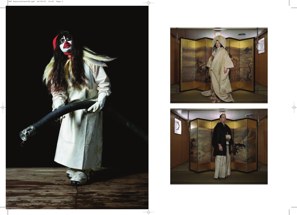





 $\oplus$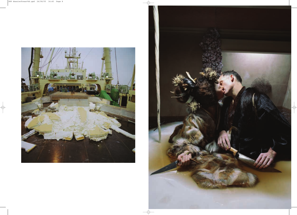

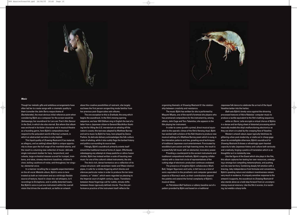Though her melodic gifts and ambitious arrangements have often led her to create songs with a cinematic quality to them (consider the John Barry-esque drama of Bachelorette), the most obvious initial reference point when considering Björk as a composer for the screen would be Selmasongs, her soundtrack for Lars von Trier's film Dancer In the Dark, in which she also starred. But where that album was anchored in its titular character and in musical theatre as a founding genre, here Björk's compositions must respond to the polyvalent world of Barney's artwork, in which an abstracted narrative is only implied.

This liquid quality of *Drawing Restraint 9* (as material, as allegory, and as setting) allows Björk a unique opportunity to draw upon the full range of her manifold talents, and the result is a stunning new collection of music: delicate single instrument studies for harp, harpsichord, and celeste, large orchestral masses scored for trumpet, trombone, and oboe, sinewy electronic basslines, children's choir, boiling cauldrons of noise, and throughout, her singular, elemental voice.

The one exception to this is *Gratitude*, the song which begins the soundtrack. In the film's moving opening sequence, we hear Will Oldham sing in English the text of a letter from a Japanese citizen to General MacArthur thanking him for lifting the U.S. moratorium on whaling off the nation's coasts; this text was adapted by Matthew Barney and set to music by Björk for harp, here played by Zeena Parkins. Its delicate delivery acknowledges the folk-culture roots of whaling, while it also subtly flags the barbed history and politics surrounding its source text.

In a manner recalling the a cappella experimentation on the all-vocal Medulla album, Björk's voice is here treated as both an instrument and as a strikingly flexible source of texture, heard in close-mic-ed whispers, lo-fi recordings to Dictaphone, and in wildly distorted howls. But Björk's voice is just one instrument within the overall vision that drives the soundtrack; as befits an artwork

organizing thematic of Drawing Restraint 9: the relationship between creativity and resistance.

about the creative possibilities of restraint, she largely eschews the first person songwriting mode familiar from her previous post-Sugarcubes solo albums.

Fittingly, Björk's soundtrack primarily orients itself around the traditional musical forms of Japan. Effortlessly sidestepping any attempt at cheap pastiche or ethno-fusion clichés, Björk has instead written a suite of haunting new music for one of the culture's oldest instruments, the sho.

while on *Storm*, Leila encrypts a virtual chorus of Björks in a dense and terrifying sheet of distorted processing which musically models the ship's malfunctioning electronics as they are short-circuited by the creeping flow of Vaseline.

The sho's rich, dense harmonics are a reflection of its unique structure: with seventeen reeds and fifteen distinct pipes, it calls for a nimble fingering which blocks and silences particular notes in order to produce the ten toneclusters, or "aitake", which were regarded as pleasing to the Imperial court of eighth-century Japan. Transitions between these fingerings call for subtle, minute shifts between these rigorously defined chords. Thus the performance practice of the instrument itself reflects the

The music Björk has written for sho is performed by Mayumi Miyata, one of the world's foremost sho players who has premiered compositions for the instrument by, among film playing her instrument.

others, John Cage and Toru Takemitsu; she appears in the In order to come up with a primal, direct musical equivalent to the operatic climax of the film's flensing ritual, Björk has worked with scholars of the Noh theatre to produce new musical settings of a Matthew Barney poem which is sung in the intonation patterns and low, growling vocal techniques of traditional Japanese court entertainment. Punctuated by woodblock percussion and high-keening tones, the result is a powerfully felt music with an elemental, invocatory power. Providing a counterpoint to the ancient instruments and traditional compositional methods, Björk's ongoing collabo-

rations with a close-knit circle of representatives of the cutting edge of electronic production continues unabated.

The presence of longtime Björk collaborators Mark Bell, Valgeir Sigursson and Leila, is felt here as a kind of sonic equivalent to the prosthetic and computer-generated aspects of Barney's work, as their contributions expand the palette and extend the formal complexity of Björk's musical ideas:

on Petrolatum Bell fashions a rubbery bassline out of a pattern provided by Björk and based on a traditional

Japanese folk dance to celebrate the arrival of the liquid Vaseline tanker into the harbor;

Bath sets Björk's lonely voice against the shivering processed textures of Akira Rabelais' computer music to produce a tactile equivalent to the film's bathing sequence;

Western artwork about Japan typically fetishizes its glittering urban post-modernity, or stalls out in cheap gags about its unintelligible otherness; Björk's soundtrack for Drawing Restraint 9 shows a refreshingly open-hearted capacity to take Japanese history and culture both seriously and creatively, forging a poetics of translation which is as thoughtful as it is insistently new.

Like the figure of the Guest which she plays in the film, this album captures her testing her own resources, undergoing a strange but compelling metamorphosis, and pushing out into new territory. Combining deeply felt emotion with a bracing, risky independence from formulas and conventions, Björk's questing nature and stubborn inventiveness remain very much in evidence. A uniquely sensitive response to the artwork it supports, the soundtrack to Drawing Restraint 9 also stands alone as a bold step forward from an uncompromising musical visionary. Like the film it scores, it is ravishing, but wields a sharp knife.

## **Music**